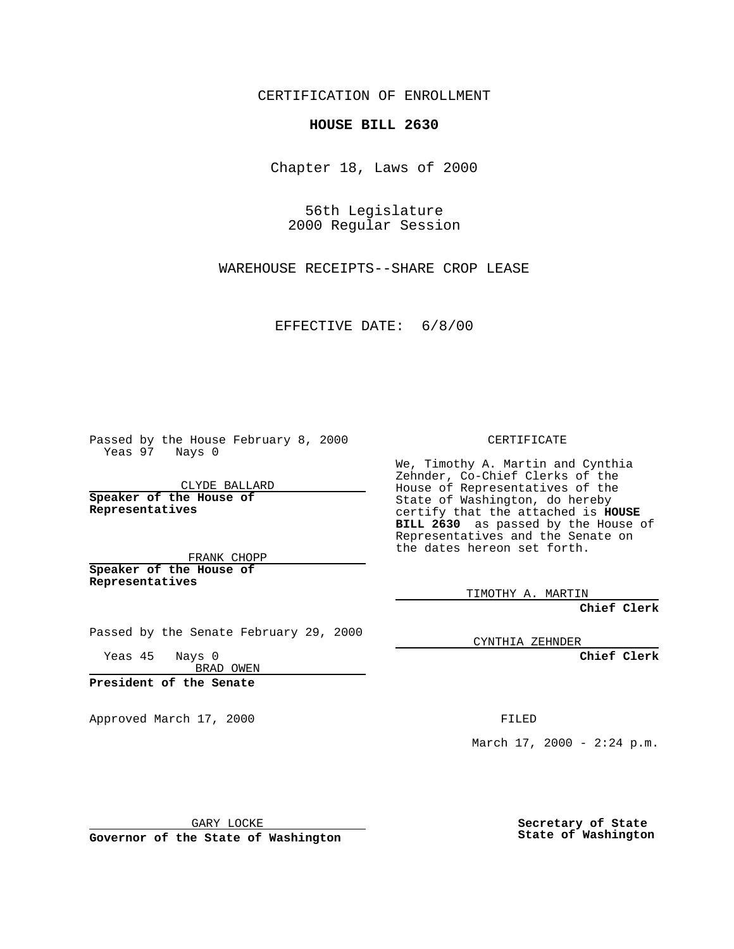CERTIFICATION OF ENROLLMENT

## **HOUSE BILL 2630**

Chapter 18, Laws of 2000

56th Legislature 2000 Regular Session

WAREHOUSE RECEIPTS--SHARE CROP LEASE

EFFECTIVE DATE: 6/8/00

Passed by the House February 8, 2000 Yeas 97 Nays 0

CLYDE BALLARD **Speaker of the House of Representatives**

FRANK CHOPP **Speaker of the House of Representatives**

Passed by the Senate February 29, 2000

Yeas 45 Nays 0 BRAD OWEN

**President of the Senate**

Approved March 17, 2000 FILED

CERTIFICATE

We, Timothy A. Martin and Cynthia Zehnder, Co-Chief Clerks of the House of Representatives of the State of Washington, do hereby certify that the attached is **HOUSE BILL 2630** as passed by the House of Representatives and the Senate on the dates hereon set forth.

TIMOTHY A. MARTIN

**Chief Clerk**

CYNTHIA ZEHNDER

**Chief Clerk**

March  $17, 2000 - 2:24 p.m.$ 

GARY LOCKE

**Governor of the State of Washington**

**Secretary of State State of Washington**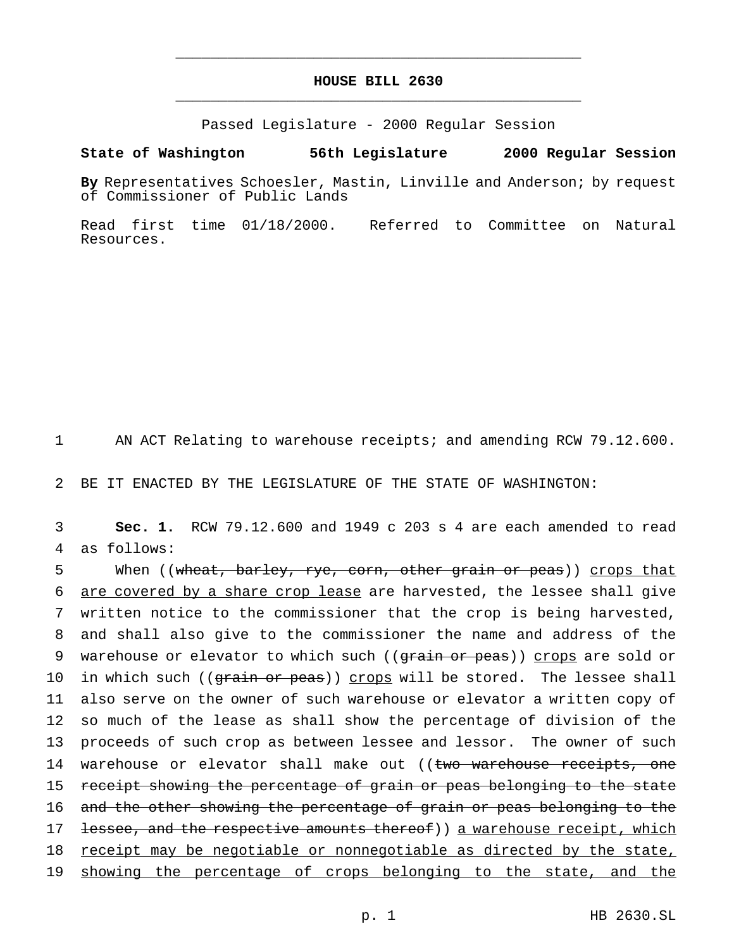## **HOUSE BILL 2630** \_\_\_\_\_\_\_\_\_\_\_\_\_\_\_\_\_\_\_\_\_\_\_\_\_\_\_\_\_\_\_\_\_\_\_\_\_\_\_\_\_\_\_\_\_\_\_

\_\_\_\_\_\_\_\_\_\_\_\_\_\_\_\_\_\_\_\_\_\_\_\_\_\_\_\_\_\_\_\_\_\_\_\_\_\_\_\_\_\_\_\_\_\_\_

Passed Legislature - 2000 Regular Session

## **State of Washington 56th Legislature 2000 Regular Session**

**By** Representatives Schoesler, Mastin, Linville and Anderson; by request of Commissioner of Public Lands

Read first time 01/18/2000. Referred to Committee on Natural Resources.

1 AN ACT Relating to warehouse receipts; and amending RCW 79.12.600.

2 BE IT ENACTED BY THE LEGISLATURE OF THE STATE OF WASHINGTON:

3 **Sec. 1.** RCW 79.12.600 and 1949 c 203 s 4 are each amended to read 4 as follows:

5 When ((wheat, barley, rye, corn, other grain or peas)) crops that 6 are covered by a share crop lease are harvested, the lessee shall give 7 written notice to the commissioner that the crop is being harvested, 8 and shall also give to the commissioner the name and address of the 9 warehouse or elevator to which such ((grain or peas)) crops are sold or 10 in which such ((grain or peas)) crops will be stored. The lessee shall 11 also serve on the owner of such warehouse or elevator a written copy of 12 so much of the lease as shall show the percentage of division of the 13 proceeds of such crop as between lessee and lessor. The owner of such 14 warehouse or elevator shall make out ((two warehouse receipts, one 15 receipt showing the percentage of grain or peas belonging to the state 16 and the other showing the percentage of grain or peas belonging to the 17 <del>lessee, and the respective amounts thereof</del>)) a warehouse receipt, which 18 receipt may be negotiable or nonnegotiable as directed by the state, 19 showing the percentage of crops belonging to the state, and the